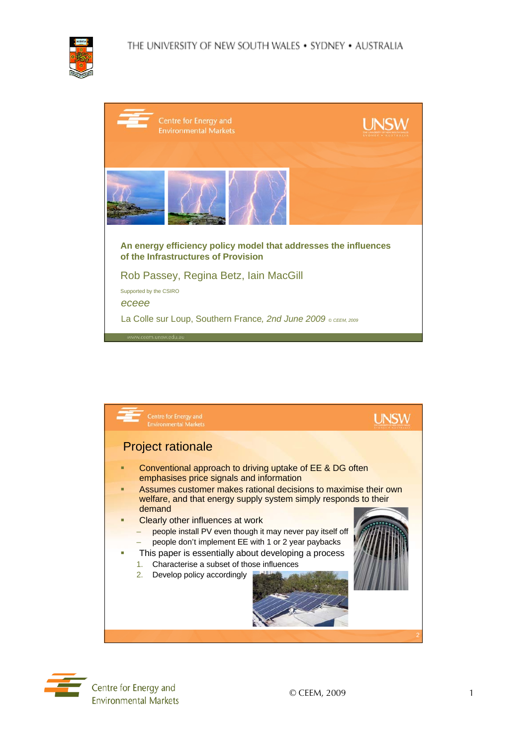

| Centre for Energy and<br><b>Environmental Markets</b>                                                  | <b>UNSW</b> |
|--------------------------------------------------------------------------------------------------------|-------------|
|                                                                                                        |             |
| An energy efficiency policy model that addresses the influences<br>of the Infrastructures of Provision |             |
| Rob Passey, Regina Betz, Iain MacGill                                                                  |             |
| Supported by the CSIRO<br>eceee                                                                        |             |
| La Colle sur Loup, Southern France, 2nd June 2009 ® CEEM, 2009                                         |             |
| www.ceem.unsw.edu.au                                                                                   |             |



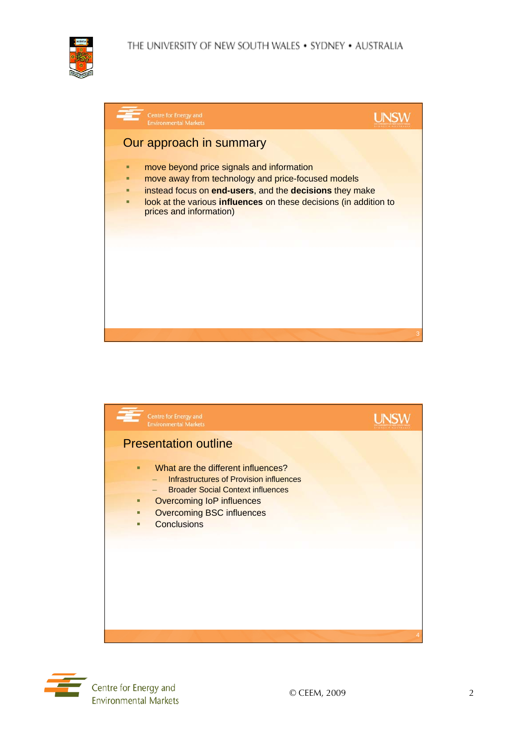





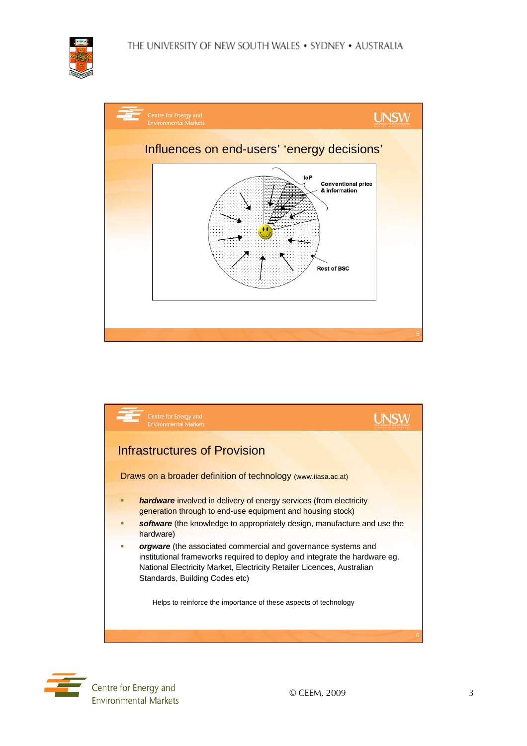## THE UNIVERSITY OF NEW SOUTH WALES . SYDNEY . AUSTRALIA









Centre for Energy and **Environmental Markets**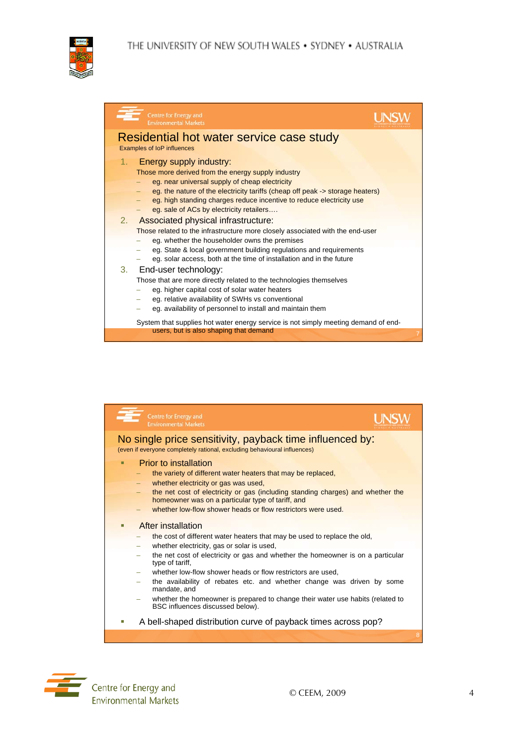

| Centre for Energy and<br><b>Environmental Markets</b>                              |
|------------------------------------------------------------------------------------|
| Residential hot water service case study                                           |
| <b>Examples of loP influences</b>                                                  |
| <b>Energy supply industry:</b><br>1.                                               |
| Those more derived from the energy supply industry                                 |
| eg. near universal supply of cheap electricity                                     |
| eg. the nature of the electricity tariffs (cheap off peak -> storage heaters)      |
| eg. high standing charges reduce incentive to reduce electricity use               |
| eg. sale of ACs by electricity retailers                                           |
| Associated physical infrastructure:<br>2.                                          |
| Those related to the infrastructure more closely associated with the end-user      |
| eg. whether the householder owns the premises                                      |
| eg. State & local government building regulations and requirements                 |
| eg. solar access, both at the time of installation and in the future               |
| 3.<br>End-user technology:                                                         |
| Those that are more directly related to the technologies themselves                |
| eg. higher capital cost of solar water heaters                                     |
| eg. relative availability of SWHs vs conventional                                  |
| eg. availability of personnel to install and maintain them                         |
| System that supplies hot water energy service is not simply meeting demand of end- |
| users, but is also shaping that demand<br>7                                        |



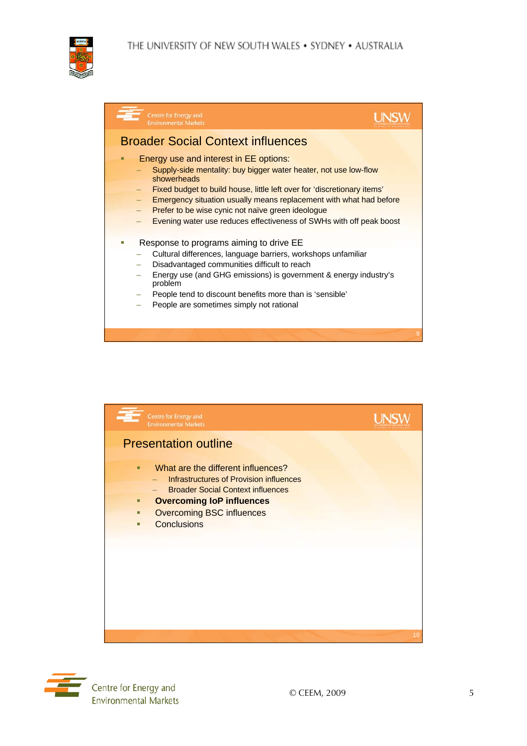## THE UNIVERSITY OF NEW SOUTH WALES . SYDNEY . AUSTRALIA



| Centre for Energy and<br><b>Environmental Markets</b>                                                                                                                                                                                                                                                                                                                                                                |   |
|----------------------------------------------------------------------------------------------------------------------------------------------------------------------------------------------------------------------------------------------------------------------------------------------------------------------------------------------------------------------------------------------------------------------|---|
| <b>Broader Social Context influences</b>                                                                                                                                                                                                                                                                                                                                                                             |   |
| Energy use and interest in EE options:<br>Supply-side mentality: buy bigger water heater, not use low-flow<br>showerheads<br>Fixed budget to build house, little left over for 'discretionary items'<br><b>Emergency situation usually means replacement with what had before</b><br>Prefer to be wise cynic not naïve green ideologue<br><b>Evening water use reduces effectiveness of SWHs with off peak boost</b> |   |
| Response to programs aiming to drive EE<br>Cultural differences, language barriers, workshops unfamiliar<br>Disadvantaged communities difficult to reach<br>Energy use (and GHG emissions) is government & energy industry's<br>problem<br>People tend to discount benefits more than is 'sensible'<br>People are sometimes simply not rational                                                                      |   |
|                                                                                                                                                                                                                                                                                                                                                                                                                      | 9 |



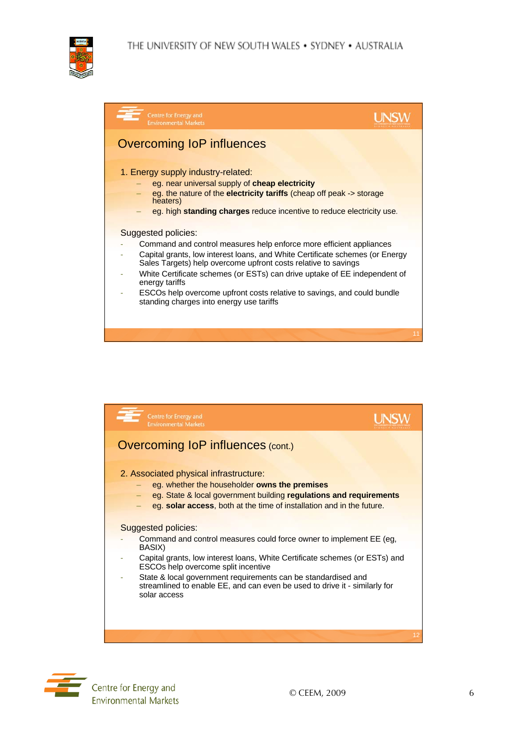

| Centre for Energy and<br><b>Environmental Markets</b>                                                                                                                                                                                                                                                                                                                                                                                                              |    |
|--------------------------------------------------------------------------------------------------------------------------------------------------------------------------------------------------------------------------------------------------------------------------------------------------------------------------------------------------------------------------------------------------------------------------------------------------------------------|----|
| Overcoming IoP influences                                                                                                                                                                                                                                                                                                                                                                                                                                          |    |
| 1. Energy supply industry-related:<br>eg. near universal supply of cheap electricity<br>eg. the nature of the electricity tariffs (cheap off peak -> storage<br>heaters)<br>eg. high standing charges reduce incentive to reduce electricity use.                                                                                                                                                                                                                  |    |
| Suggested policies:<br>Command and control measures help enforce more efficient appliances<br>Capital grants, low interest loans, and White Certificate schemes (or Energy<br>Sales Targets) help overcome upfront costs relative to savings<br>White Certificate schemes (or ESTs) can drive uptake of EE independent of<br>energy tariffs<br>ESCOs help overcome upfront costs relative to savings, and could bundle<br>standing charges into energy use tariffs |    |
|                                                                                                                                                                                                                                                                                                                                                                                                                                                                    | 11 |





Centre for Energy and **Environmental Markets**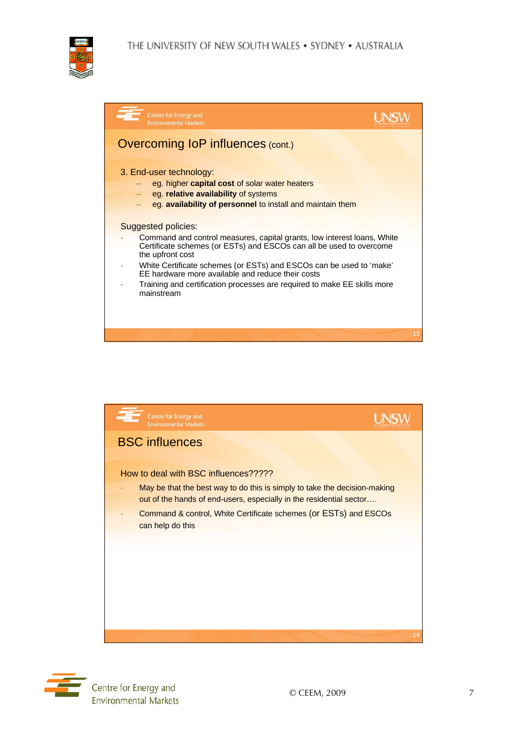

| Centre for Energy and<br><b>Environmental Markets</b>                                                                                                                                                                                                                                                                                                                                                                  |    |
|------------------------------------------------------------------------------------------------------------------------------------------------------------------------------------------------------------------------------------------------------------------------------------------------------------------------------------------------------------------------------------------------------------------------|----|
| <b>Overcoming IoP influences (cont.)</b>                                                                                                                                                                                                                                                                                                                                                                               |    |
| 3. End-user technology:<br>eg. higher <b>capital cost</b> of solar water heaters<br>eg. relative availability of systems<br>eg. availability of personnel to install and maintain them                                                                                                                                                                                                                                 |    |
| <b>Suggested policies:</b><br>Command and control measures, capital grants, low interest loans, White<br>Certificate schemes (or ESTs) and ESCOs can all be used to overcome<br>the upfront cost<br>White Certificate schemes (or ESTs) and ESCOs can be used to 'make'<br>EE hardware more available and reduce their costs<br>Training and certification processes are required to make EE skills more<br>mainstream |    |
|                                                                                                                                                                                                                                                                                                                                                                                                                        | 13 |